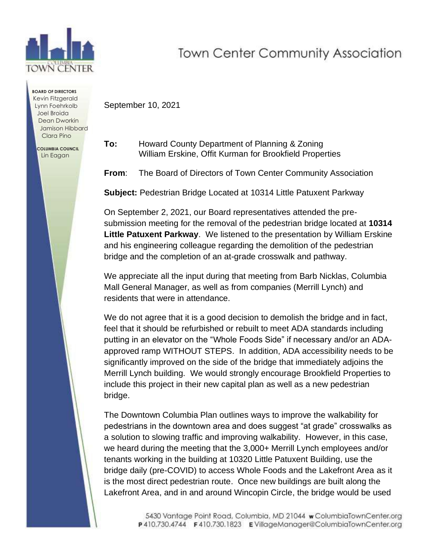

**BOARD OF DIRECTORS** Kevin Fitzgerald Lynn Foehrkolb Joel Broida Dean Dworkin Jamison Hibbard Clara Pino  **COLUMBIA COUNCIL** Lin Eagan

## **Town Center Community Association**

September 10, 2021

**To:** Howard County Department of Planning & Zoning William Erskine, Offit Kurman for Brookfield Properties

**From**: The Board of Directors of Town Center Community Association

**Subject:** Pedestrian Bridge Located at 10314 Little Patuxent Parkway

On September 2, 2021, our Board representatives attended the presubmission meeting for the removal of the pedestrian bridge located at **10314 Little Patuxent Parkway**. We listened to the presentation by William Erskine and his engineering colleague regarding the demolition of the pedestrian bridge and the completion of an at-grade crosswalk and pathway.

We appreciate all the input during that meeting from Barb Nicklas, Columbia Mall General Manager, as well as from companies (Merrill Lynch) and residents that were in attendance.

We do not agree that it is a good decision to demolish the bridge and in fact, feel that it should be refurbished or rebuilt to meet ADA standards including putting in an elevator on the "Whole Foods Side" if necessary and/or an ADAapproved ramp WITHOUT STEPS. In addition, ADA accessibility needs to be significantly improved on the side of the bridge that immediately adjoins the Merrill Lynch building. We would strongly encourage Brookfield Properties to include this project in their new capital plan as well as a new pedestrian bridge.

The Downtown Columbia Plan outlines ways to improve the walkability for pedestrians in the downtown area and does suggest "at grade" crosswalks as a solution to slowing traffic and improving walkability. However, in this case, we heard during the meeting that the 3,000+ Merrill Lynch employees and/or tenants working in the building at 10320 Little Patuxent Building, use the bridge daily (pre-COVID) to access Whole Foods and the Lakefront Area as it is the most direct pedestrian route. Once new buildings are built along the Lakefront Area, and in and around Wincopin Circle, the bridge would be used